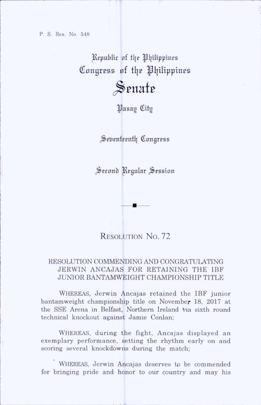Republic of the Philippines Congress of the Philippines  $\mathcal S$ enate

|Jasay fflitg

Seventeenth Congress

Second Regular Session

# RESOLUTION No. 72

## RESOLUTION COMMENDING AND CONGRATULATING JERWIN ANCAJAS FOR RETAINING THE IBF JUNIOR BANTAMWEIGHT CHAMPIONSHIP TITLE

Whereas, Jerwin Ancajas retained the IBF junior bantamweight championship title on November 18, 2017 at tbe SSE Arena in Belfast, Northern Ireland Via sixth round technical knockout against Jamie Conlan;

WHEREAS, during the fight, Ancajas displayed an exemplary performance, setting the rhythm early on and scoring several knockdowns during the match;

WHEREAS, Jerwin Ancajas deserves to be commended for bringing pride and honor to our country and may his